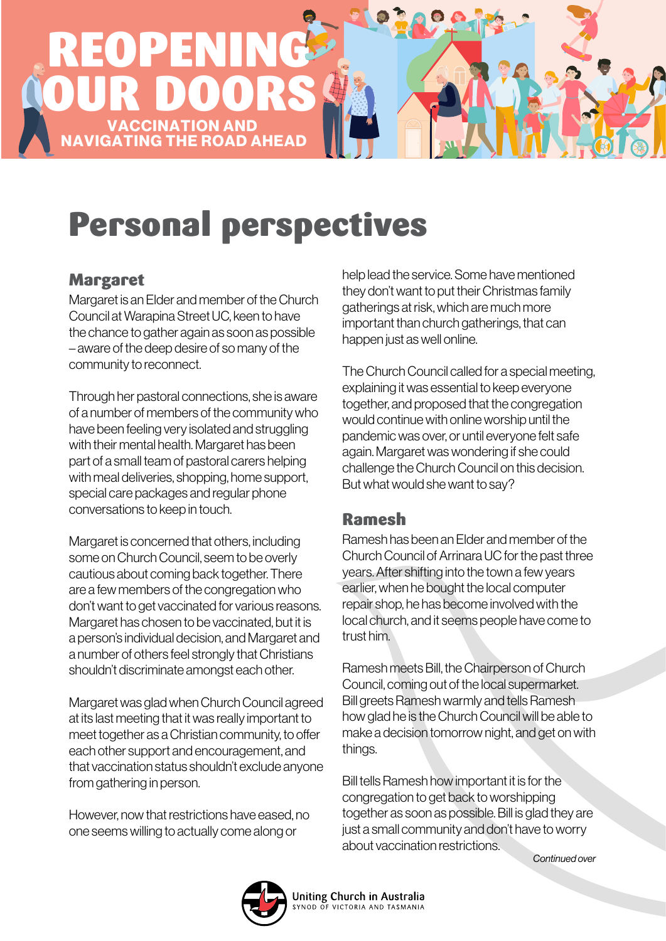

# Personal perspectives

#### Margaret

Margaret is an Elder and member of the Church Council at Warapina Street UC, keen to have the chance to gather again as soon as possible – aware of the deep desire of so many of the community to reconnect.

Through her pastoral connections, she is aware of a number of members of the community who have been feeling very isolated and struggling with their mental health. Margaret has been part of a small team of pastoral carers helping with meal deliveries, shopping, home support, special care packages and regular phone conversations to keep in touch.

Margaret is concerned that others, including some on Church Council, seem to be overly cautious about coming back together. There are a few members of the congregation who don't want to get vaccinated for various reasons. Margaret has chosen to be vaccinated, but it is a person's individual decision, and Margaret and a number of others feel strongly that Christians shouldn't discriminate amongst each other.

Margaret was glad when Church Council agreed at its last meeting that it was really important to meet together as a Christian community, to offer each other support and encouragement, and that vaccination status shouldn't exclude anyone from gathering in person.

However, now that restrictions have eased, no one seems willing to actually come along or

help lead the service. Some have mentioned they don't want to put their Christmas family gatherings at risk, which are much more important than church gatherings, that can happen just as well online.

The Church Council called for a special meeting, explaining it was essential to keep everyone together, and proposed that the congregation would continue with online worship until the pandemic was over, or until everyone felt safe again. Margaret was wondering if she could challenge the Church Council on this decision. But what would she want to say?

#### Ramesh

Ramesh has been an Elder and member of the Church Council of Arrinara UC for the past three years. After shifting into the town a few years earlier, when he bought the local computer repair shop, he has become involved with the local church, and it seems people have come to trust him.

Ramesh meets Bill, the Chairperson of Church Council, coming out of the local supermarket. Bill greets Ramesh warmly and tells Ramesh how glad he is the Church Council will be able to make a decision tomorrow night, and get on with things.

Bill tells Ramesh how important it is for the congregation to get back to worshipping together as soon as possible. Bill is glad they are just a small community and don't have to worry about vaccination restrictions.

*Continued over*